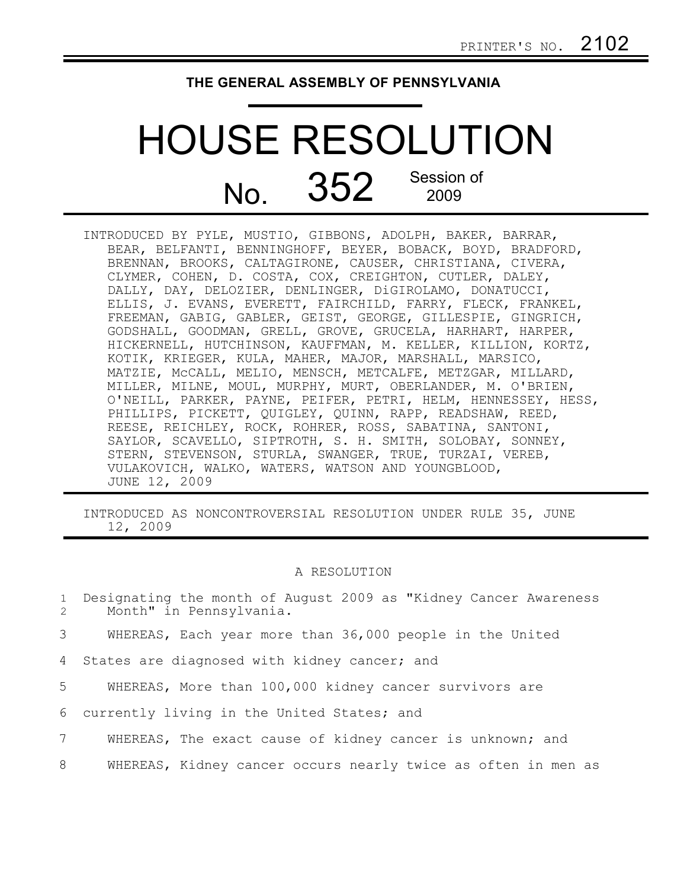## **THE GENERAL ASSEMBLY OF PENNSYLVANIA**

## HOUSE RESOLUTION No. 352 Session of 2009

INTRODUCED BY PYLE, MUSTIO, GIBBONS, ADOLPH, BAKER, BARRAR, BEAR, BELFANTI, BENNINGHOFF, BEYER, BOBACK, BOYD, BRADFORD, BRENNAN, BROOKS, CALTAGIRONE, CAUSER, CHRISTIANA, CIVERA, CLYMER, COHEN, D. COSTA, COX, CREIGHTON, CUTLER, DALEY, DALLY, DAY, DELOZIER, DENLINGER, DiGIROLAMO, DONATUCCI, ELLIS, J. EVANS, EVERETT, FAIRCHILD, FARRY, FLECK, FRANKEL, FREEMAN, GABIG, GABLER, GEIST, GEORGE, GILLESPIE, GINGRICH, GODSHALL, GOODMAN, GRELL, GROVE, GRUCELA, HARHART, HARPER, HICKERNELL, HUTCHINSON, KAUFFMAN, M. KELLER, KILLION, KORTZ, KOTIK, KRIEGER, KULA, MAHER, MAJOR, MARSHALL, MARSICO, MATZIE, McCALL, MELIO, MENSCH, METCALFE, METZGAR, MILLARD, MILLER, MILNE, MOUL, MURPHY, MURT, OBERLANDER, M. O'BRIEN, O'NEILL, PARKER, PAYNE, PEIFER, PETRI, HELM, HENNESSEY, HESS, PHILLIPS, PICKETT, QUIGLEY, QUINN, RAPP, READSHAW, REED, REESE, REICHLEY, ROCK, ROHRER, ROSS, SABATINA, SANTONI, SAYLOR, SCAVELLO, SIPTROTH, S. H. SMITH, SOLOBAY, SONNEY, STERN, STEVENSON, STURLA, SWANGER, TRUE, TURZAI, VEREB, VULAKOVICH, WALKO, WATERS, WATSON AND YOUNGBLOOD, JUNE 12, 2009

INTRODUCED AS NONCONTROVERSIAL RESOLUTION UNDER RULE 35, JUNE 12, 2009

## A RESOLUTION

Designating the month of August 2009 as "Kidney Cancer Awareness Month" in Pennsylvania. 1 2

WHEREAS, Each year more than 36,000 people in the United 3

States are diagnosed with kidney cancer; and 4

WHEREAS, More than 100,000 kidney cancer survivors are 5

currently living in the United States; and 6

WHEREAS, The exact cause of kidney cancer is unknown; and 7

WHEREAS, Kidney cancer occurs nearly twice as often in men as 8